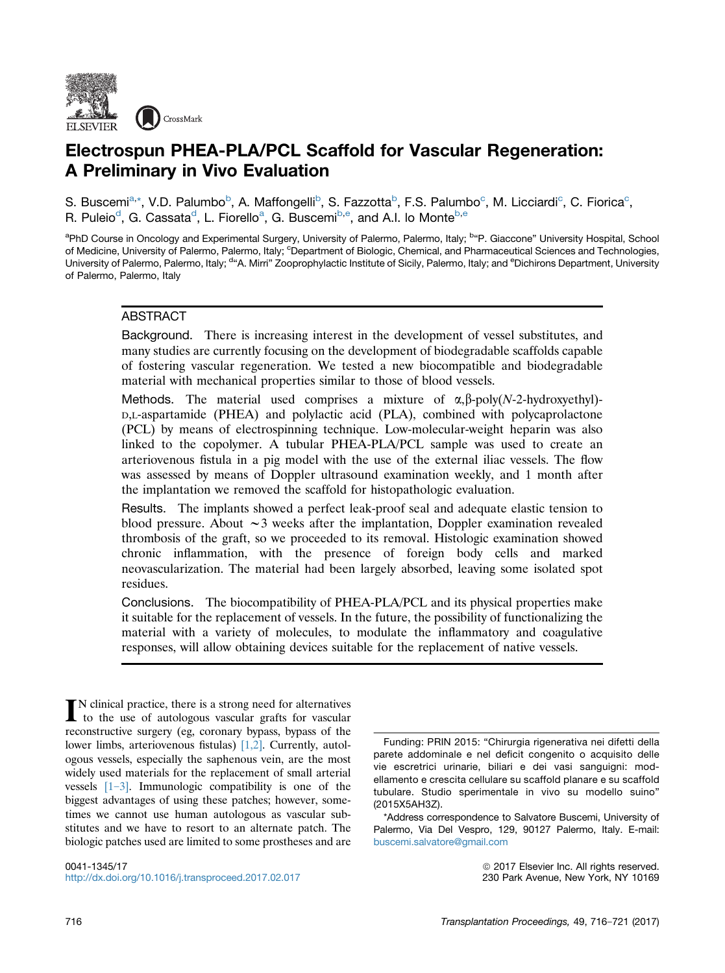

# Electrospun PHEA-PLA/PCL Scaffold for Vascular Regeneration: A Preliminary in Vivo Evaluation

S. Buscemi<sup>a,\*</sup>, V.D. Palumbo<sup>b</sup>, A. Maffongelli<sup>b</sup>, S. Fazzotta<sup>b</sup>, F.S. Palumbo<sup>c</sup>, M. Licciardi<sup>c</sup>, C. Fiorica<sup>c</sup>, R. Puleio<sup>d</sup>, G. Cassata<sup>d</sup>, L. Fiorello<sup>a</sup>, G. Buscemi<sup>b,e</sup>, and A.I. lo Monte<sup>b,e</sup>

<sup>a</sup>PhD Course in Oncology and Experimental Surgery, University of Palermo, Palermo, Italy; <sup>b</sup>"P. Giaccone" University Hospital, School of Medicine, University of Palermo, Palermo, Italy; <sup>c</sup>Department of Biologic, Chemical, and Pharmaceutical Sciences and Technologies, University of Palermo, Palermo, Italy; <sup>d</sup>"A. Mirri" Zooprophylactic Institute of Sicily, Palermo, Italy; and <sup>e</sup>Dichirons Department, University of Palermo, Palermo, Italy

## ABSTRACT

Background. There is increasing interest in the development of vessel substitutes, and many studies are currently focusing on the development of biodegradable scaffolds capable of fostering vascular regeneration. We tested a new biocompatible and biodegradable material with mechanical properties similar to those of blood vessels.

Methods. The material used comprises a mixture of  $\alpha$ ,  $\beta$ -poly(N-2-hydroxyethyl)-D,L-aspartamide (PHEA) and polylactic acid (PLA), combined with polycaprolactone (PCL) by means of electrospinning technique. Low-molecular-weight heparin was also linked to the copolymer. A tubular PHEA-PLA/PCL sample was used to create an arteriovenous fistula in a pig model with the use of the external iliac vessels. The flow was assessed by means of Doppler ultrasound examination weekly, and 1 month after the implantation we removed the scaffold for histopathologic evaluation.

Results. The implants showed a perfect leak-proof seal and adequate elastic tension to blood pressure. About  $\sim$ 3 weeks after the implantation, Doppler examination revealed thrombosis of the graft, so we proceeded to its removal. Histologic examination showed chronic inflammation, with the presence of foreign body cells and marked neovascularization. The material had been largely absorbed, leaving some isolated spot residues.

Conclusions. The biocompatibility of PHEA-PLA/PCL and its physical properties make it suitable for the replacement of vessels. In the future, the possibility of functionalizing the material with a variety of molecules, to modulate the inflammatory and coagulative responses, will allow obtaining devices suitable for the replacement of native vessels.

IN clinical practice, there is a strong need for alternatives<br>to the use of autologous vascular grafts for vascular to the use of autologous vascular grafts for vascular reconstructive surgery (eg, coronary bypass, bypass of the lower limbs, arteriovenous fistulas) [\[1,2\].](#page-3-0) Currently, autologous vessels, especially the saphenous vein, are the most widely used materials for the replacement of small arterial vessels  $[1-3]$  $[1-3]$ . Immunologic compatibility is one of the biggest advantages of using these patches; however, sometimes we cannot use human autologous as vascular substitutes and we have to resort to an alternate patch. The biologic patches used are limited to some prostheses and are

0041-1345/17 <http://dx.doi.org/10.1016/j.transproceed.2017.02.017>

Funding: PRIN 2015: "Chirurgia rigenerativa nei difetti della parete addominale e nel deficit congenito o acquisito delle vie escretrici urinarie, biliari e dei vasi sanguigni: modellamento e crescita cellulare su scaffold planare e su scaffold tubulare. Studio sperimentale in vivo su modello suino" (2015X5AH3Z).

<sup>\*</sup>Address correspondence to Salvatore Buscemi, University of Palermo, Via Del Vespro, 129, 90127 Palermo, Italy. E-mail: [buscemi.salvatore@gmail.com](mailto:buscemi.salvatore@gmail.com)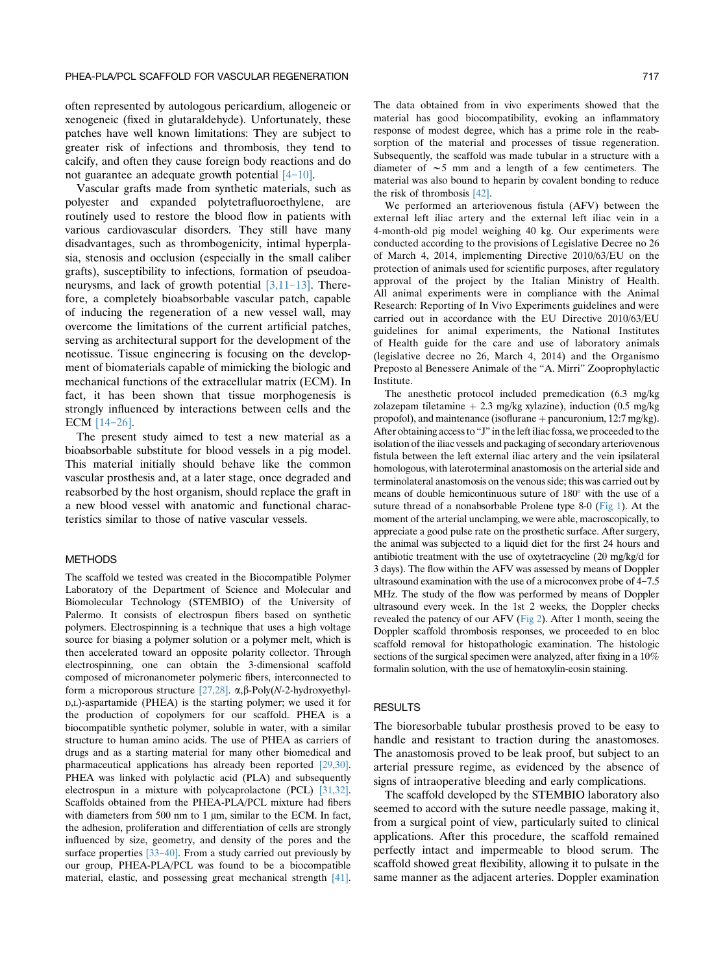often represented by autologous pericardium, allogeneic or xenogeneic (fixed in glutaraldehyde). Unfortunately, these patches have well known limitations: They are subject to greater risk of infections and thrombosis, they tend to calcify, and often they cause foreign body reactions and do not guarantee an adequate growth potential  $[4-10]$  $[4-10]$ .

Vascular grafts made from synthetic materials, such as polyester and expanded polytetrafluoroethylene, are routinely used to restore the blood flow in patients with various cardiovascular disorders. They still have many disadvantages, such as thrombogenicity, intimal hyperplasia, stenosis and occlusion (especially in the small caliber grafts), susceptibility to infections, formation of pseudoaneurysms, and lack of growth potential  $[3,11-13]$  $[3,11-13]$ . Therefore, a completely bioabsorbable vascular patch, capable of inducing the regeneration of a new vessel wall, may overcome the limitations of the current artificial patches, serving as architectural support for the development of the neotissue. Tissue engineering is focusing on the development of biomaterials capable of mimicking the biologic and mechanical functions of the extracellular matrix (ECM). In fact, it has been shown that tissue morphogenesis is strongly influenced by interactions between cells and the ECM  $[14-26]$ .

The present study aimed to test a new material as a bioabsorbable substitute for blood vessels in a pig model. This material initially should behave like the common vascular prosthesis and, at a later stage, once degraded and reabsorbed by the host organism, should replace the graft in a new blood vessel with anatomic and functional characteristics similar to those of native vascular vessels.

## **METHODS**

The scaffold we tested was created in the Biocompatible Polymer Laboratory of the Department of Science and Molecular and Biomolecular Technology (STEMBIO) of the University of Palermo. It consists of electrospun fibers based on synthetic polymers. Electrospinning is a technique that uses a high voltage source for biasing a polymer solution or a polymer melt, which is then accelerated toward an opposite polarity collector. Through electrospinning, one can obtain the 3-dimensional scaffold composed of micronanometer polymeric fibers, interconnected to form a microporous structure [\[27,28\]](#page-4-0).  $\alpha$ ,  $\beta$ -Poly(N-2-hydroxyethyl-D,L)-aspartamide (PHEA) is the starting polymer; we used it for the production of copolymers for our scaffold. PHEA is a biocompatible synthetic polymer, soluble in water, with a similar structure to human amino acids. The use of PHEA as carriers of drugs and as a starting material for many other biomedical and pharmaceutical applications has already been reported [\[29,30\]](#page-4-0). PHEA was linked with polylactic acid (PLA) and subsequently electrospun in a mixture with polycaprolactone (PCL) [\[31,32\]](#page-4-0). Scaffolds obtained from the PHEA-PLA/PCL mixture had fibers with diameters from 500 nm to 1  $\mu$ m, similar to the ECM. In fact, the adhesion, proliferation and differentiation of cells are strongly influenced by size, geometry, and density of the pores and the surface properties  $[33-40]$ . From a study carried out previously by our group, PHEA-PLA/PCL was found to be a biocompatible material, elastic, and possessing great mechanical strength [\[41\]](#page-4-0).

The data obtained from in vivo experiments showed that the material has good biocompatibility, evoking an inflammatory response of modest degree, which has a prime role in the reabsorption of the material and processes of tissue regeneration. Subsequently, the scaffold was made tubular in a structure with a diameter of  $\sim$  5 mm and a length of a few centimeters. The material was also bound to heparin by covalent bonding to reduce the risk of thrombosis [\[42\]](#page-4-0).

We performed an arteriovenous fistula (AFV) between the external left iliac artery and the external left iliac vein in a 4-month-old pig model weighing 40 kg. Our experiments were conducted according to the provisions of Legislative Decree no 26 of March 4, 2014, implementing Directive 2010/63/EU on the protection of animals used for scientific purposes, after regulatory approval of the project by the Italian Ministry of Health. All animal experiments were in compliance with the Animal Research: Reporting of In Vivo Experiments guidelines and were carried out in accordance with the EU Directive 2010/63/EU guidelines for animal experiments, the National Institutes of Health guide for the care and use of laboratory animals (legislative decree no 26, March 4, 2014) and the Organismo Preposto al Benessere Animale of the "A. Mirri" Zooprophylactic Institute.

The anesthetic protocol included premedication (6.3 mg/kg zolazepam tiletamine  $+ 2.3$  mg/kg xylazine), induction (0.5 mg/kg) propofol), and maintenance (isoflurane  $+$  pancuronium, 12:7 mg/kg). After obtaining access to "J" in the left iliac fossa, we proceeded to the isolation of the iliac vessels and packaging of secondary arteriovenous fistula between the left external iliac artery and the vein ipsilateral homologous, with lateroterminal anastomosis on the arterial side and terminolateral anastomosis on the venous side; this was carried out by means of double hemicontinuous suture of 180° with the use of a suture thread of a nonabsorbable Prolene type 8-0 [\(Fig 1](#page-2-0)). At the moment of the arterial unclamping, we were able, macroscopically, to appreciate a good pulse rate on the prosthetic surface. After surgery, the animal was subjected to a liquid diet for the first 24 hours and antibiotic treatment with the use of oxytetracycline (20 mg/kg/d for 3 days). The flow within the AFV was assessed by means of Doppler ultrasound examination with the use of a microconvex probe of  $4-7.5$ MHz. The study of the flow was performed by means of Doppler ultrasound every week. In the 1st 2 weeks, the Doppler checks revealed the patency of our AFV ([Fig 2\)](#page-2-0). After 1 month, seeing the Doppler scaffold thrombosis responses, we proceeded to en bloc scaffold removal for histopathologic examination. The histologic sections of the surgical specimen were analyzed, after fixing in a 10% formalin solution, with the use of hematoxylin-eosin staining.

## RESULTS

The bioresorbable tubular prosthesis proved to be easy to handle and resistant to traction during the anastomoses. The anastomosis proved to be leak proof, but subject to an arterial pressure regime, as evidenced by the absence of signs of intraoperative bleeding and early complications.

The scaffold developed by the STEMBIO laboratory also seemed to accord with the suture needle passage, making it, from a surgical point of view, particularly suited to clinical applications. After this procedure, the scaffold remained perfectly intact and impermeable to blood serum. The scaffold showed great flexibility, allowing it to pulsate in the same manner as the adjacent arteries. Doppler examination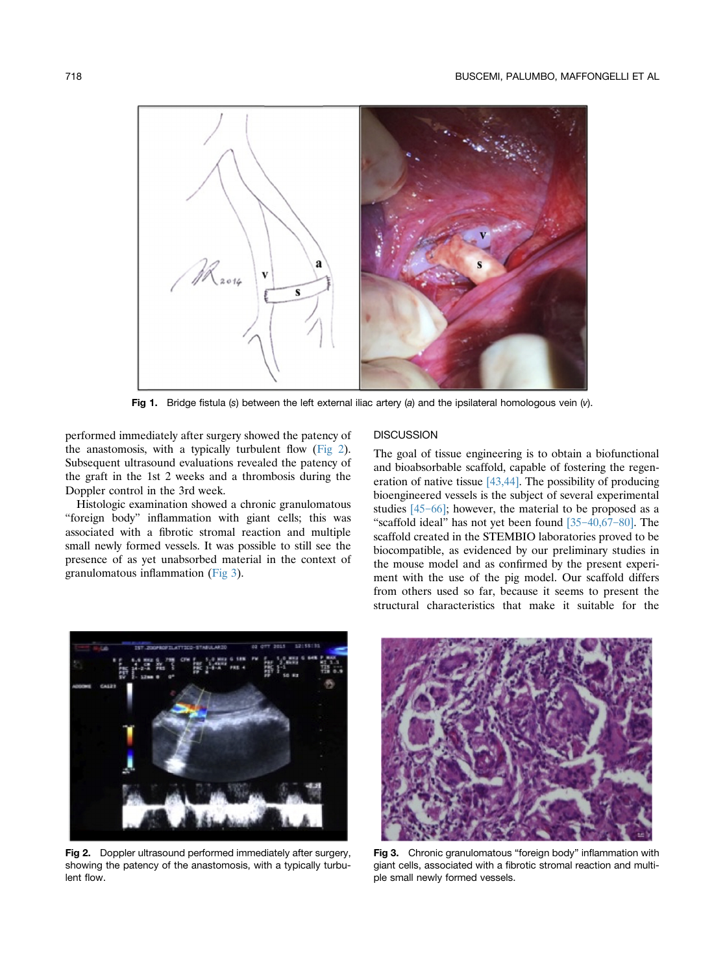<span id="page-2-0"></span>

Fig 1. Bridge fistula (s) between the left external iliac artery (a) and the ipsilateral homologous vein  $(v)$ .

performed immediately after surgery showed the patency of the anastomosis, with a typically turbulent flow (Fig 2). Subsequent ultrasound evaluations revealed the patency of the graft in the 1st 2 weeks and a thrombosis during the Doppler control in the 3rd week.

Histologic examination showed a chronic granulomatous "foreign body" inflammation with giant cells; this was associated with a fibrotic stromal reaction and multiple small newly formed vessels. It was possible to still see the presence of as yet unabsorbed material in the context of granulomatous inflammation (Fig 3).

## **DISCUSSION**

The goal of tissue engineering is to obtain a biofunctional and bioabsorbable scaffold, capable of fostering the regeneration of native tissue [\[43,44\].](#page-4-0) The possibility of producing bioengineered vessels is the subject of several experimental studies  $[45-66]$ ; however, the material to be proposed as a "scaffold ideal" has not yet been found  $[35-40.67-80]$ . The scaffold created in the STEMBIO laboratories proved to be biocompatible, as evidenced by our preliminary studies in the mouse model and as confirmed by the present experiment with the use of the pig model. Our scaffold differs from others used so far, because it seems to present the structural characteristics that make it suitable for the



Fig 2. Doppler ultrasound performed immediately after surgery, showing the patency of the anastomosis, with a typically turbulent flow.



Fig 3. Chronic granulomatous "foreign body" inflammation with giant cells, associated with a fibrotic stromal reaction and multiple small newly formed vessels.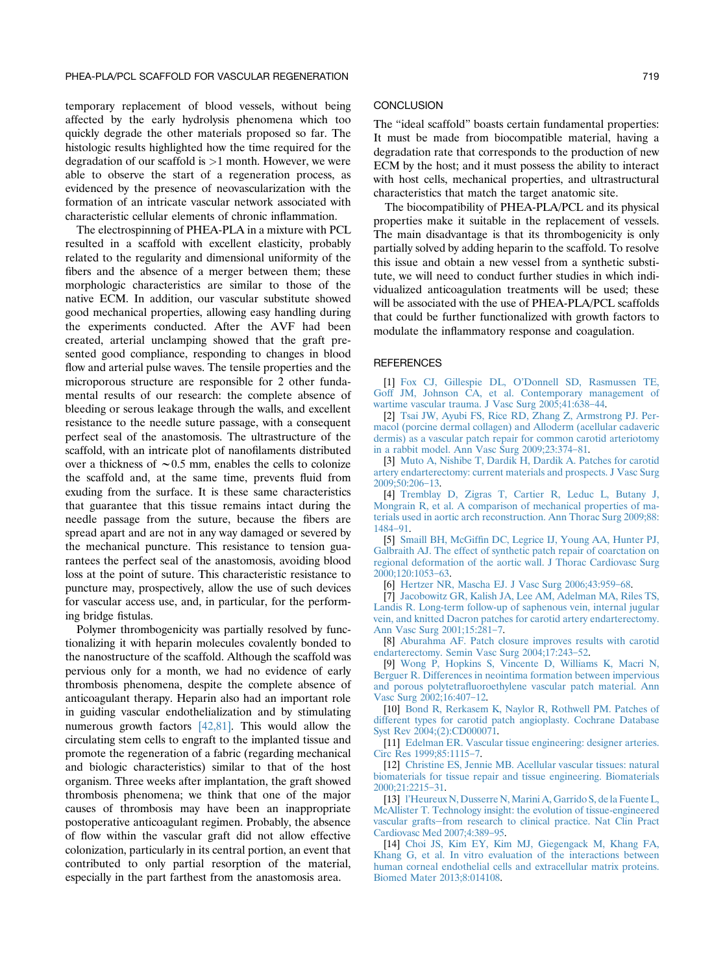<span id="page-3-0"></span>temporary replacement of blood vessels, without being affected by the early hydrolysis phenomena which too quickly degrade the other materials proposed so far. The histologic results highlighted how the time required for the degradation of our scaffold is  $>1$  month. However, we were able to observe the start of a regeneration process, as evidenced by the presence of neovascularization with the formation of an intricate vascular network associated with characteristic cellular elements of chronic inflammation.

The electrospinning of PHEA-PLA in a mixture with PCL resulted in a scaffold with excellent elasticity, probably related to the regularity and dimensional uniformity of the fibers and the absence of a merger between them; these morphologic characteristics are similar to those of the native ECM. In addition, our vascular substitute showed good mechanical properties, allowing easy handling during the experiments conducted. After the AVF had been created, arterial unclamping showed that the graft presented good compliance, responding to changes in blood flow and arterial pulse waves. The tensile properties and the microporous structure are responsible for 2 other fundamental results of our research: the complete absence of bleeding or serous leakage through the walls, and excellent resistance to the needle suture passage, with a consequent perfect seal of the anastomosis. The ultrastructure of the scaffold, with an intricate plot of nanofilaments distributed over a thickness of  $\sim 0.5$  mm, enables the cells to colonize the scaffold and, at the same time, prevents fluid from exuding from the surface. It is these same characteristics that guarantee that this tissue remains intact during the needle passage from the suture, because the fibers are spread apart and are not in any way damaged or severed by the mechanical puncture. This resistance to tension guarantees the perfect seal of the anastomosis, avoiding blood loss at the point of suture. This characteristic resistance to puncture may, prospectively, allow the use of such devices for vascular access use, and, in particular, for the performing bridge fistulas.

Polymer thrombogenicity was partially resolved by functionalizing it with heparin molecules covalently bonded to the nanostructure of the scaffold. Although the scaffold was pervious only for a month, we had no evidence of early thrombosis phenomena, despite the complete absence of anticoagulant therapy. Heparin also had an important role in guiding vascular endothelialization and by stimulating numerous growth factors [\[42,81\].](#page-4-0) This would allow the circulating stem cells to engraft to the implanted tissue and promote the regeneration of a fabric (regarding mechanical and biologic characteristics) similar to that of the host organism. Three weeks after implantation, the graft showed thrombosis phenomena; we think that one of the major causes of thrombosis may have been an inappropriate postoperative anticoagulant regimen. Probably, the absence of flow within the vascular graft did not allow effective colonization, particularly in its central portion, an event that contributed to only partial resorption of the material, especially in the part farthest from the anastomosis area.

## **CONCLUSION**

The "ideal scaffold" boasts certain fundamental properties: It must be made from biocompatible material, having a degradation rate that corresponds to the production of new ECM by the host; and it must possess the ability to interact with host cells, mechanical properties, and ultrastructural characteristics that match the target anatomic site.

The biocompatibility of PHEA-PLA/PCL and its physical properties make it suitable in the replacement of vessels. The main disadvantage is that its thrombogenicity is only partially solved by adding heparin to the scaffold. To resolve this issue and obtain a new vessel from a synthetic substitute, we will need to conduct further studies in which individualized anticoagulation treatments will be used; these will be associated with the use of PHEA-PLA/PCL scaffolds that could be further functionalized with growth factors to modulate the inflammatory response and coagulation.

#### **REFERENCES**

[1] Fox CJ, Gillespie DL, O'[Donnell SD, Rasmussen TE,](http://refhub.elsevier.com/S0041-1345(17)30151-3/sref1) [Goff JM, Johnson CA, et al. Contemporary management of](http://refhub.elsevier.com/S0041-1345(17)30151-3/sref1) [wartime vascular trauma. J Vasc Surg 2005;41:638](http://refhub.elsevier.com/S0041-1345(17)30151-3/sref1)-44.

[2] [Tsai JW, Ayubi FS, Rice RD, Zhang Z, Armstrong PJ. Per](http://refhub.elsevier.com/S0041-1345(17)30151-3/sref2)[macol \(porcine dermal collagen\) and Alloderm \(acellular cadaveric](http://refhub.elsevier.com/S0041-1345(17)30151-3/sref2) [dermis\) as a vascular patch repair for common carotid arteriotomy](http://refhub.elsevier.com/S0041-1345(17)30151-3/sref2) in a rabbit model. Ann Vasc Surg  $2009;23:374-81$ .

[3] [Muto A, Nishibe T, Dardik H, Dardik A. Patches for carotid](http://refhub.elsevier.com/S0041-1345(17)30151-3/sref3) [artery endarterectomy: current materials and prospects. J Vasc Surg](http://refhub.elsevier.com/S0041-1345(17)30151-3/sref3)  $2009.50.206 - 13$ 

[4] [Tremblay D, Zigras T, Cartier R, Leduc L, Butany J,](http://refhub.elsevier.com/S0041-1345(17)30151-3/sref4) [Mongrain R, et al. A comparison of mechanical properties of ma](http://refhub.elsevier.com/S0041-1345(17)30151-3/sref4)[terials used in aortic arch reconstruction. Ann Thorac Surg 2009;88:](http://refhub.elsevier.com/S0041-1345(17)30151-3/sref4) [1484](http://refhub.elsevier.com/S0041-1345(17)30151-3/sref4)-91.

[5] Smaill BH, McGiffi[n DC, Legrice IJ, Young AA, Hunter PJ,](http://refhub.elsevier.com/S0041-1345(17)30151-3/sref5) [Galbraith AJ. The effect of synthetic patch repair of coarctation on](http://refhub.elsevier.com/S0041-1345(17)30151-3/sref5) [regional deformation of the aortic wall. J Thorac Cardiovasc Surg](http://refhub.elsevier.com/S0041-1345(17)30151-3/sref5) [2000;120:1053](http://refhub.elsevier.com/S0041-1345(17)30151-3/sref5)-63.

[6] [Hertzer NR, Mascha EJ. J Vasc Surg 2006;43:959](http://refhub.elsevier.com/S0041-1345(17)30151-3/sref6)-68.

[7] [Jacobowitz GR, Kalish JA, Lee AM, Adelman MA, Riles TS,](http://refhub.elsevier.com/S0041-1345(17)30151-3/sref7) [Landis R. Long-term follow-up of saphenous vein, internal jugular](http://refhub.elsevier.com/S0041-1345(17)30151-3/sref7) [vein, and knitted Dacron patches for carotid artery endarterectomy.](http://refhub.elsevier.com/S0041-1345(17)30151-3/sref7) [Ann Vasc Surg 2001;15:281](http://refhub.elsevier.com/S0041-1345(17)30151-3/sref7)-7.

[8] [Aburahma AF. Patch closure improves results with carotid](http://refhub.elsevier.com/S0041-1345(17)30151-3/sref8) [endarterectomy. Semin Vasc Surg 2004;17:243](http://refhub.elsevier.com/S0041-1345(17)30151-3/sref8)-52.

[9] [Wong P, Hopkins S, Vincente D, Williams K, Macri N,](http://refhub.elsevier.com/S0041-1345(17)30151-3/sref9) [Berguer R. Differences in neointima formation between impervious](http://refhub.elsevier.com/S0041-1345(17)30151-3/sref9) and porous polytetrafl[uoroethylene vascular patch material. Ann](http://refhub.elsevier.com/S0041-1345(17)30151-3/sref9) [Vasc Surg 2002;16:407](http://refhub.elsevier.com/S0041-1345(17)30151-3/sref9)-12.

[10] [Bond R, Rerkasem K, Naylor R, Rothwell PM. Patches of](http://refhub.elsevier.com/S0041-1345(17)30151-3/sref10) [different types for carotid patch angioplasty. Cochrane Database](http://refhub.elsevier.com/S0041-1345(17)30151-3/sref10) [Syst Rev 2004;\(2\):CD000071.](http://refhub.elsevier.com/S0041-1345(17)30151-3/sref10)

[11] [Edelman ER. Vascular tissue engineering: designer arteries.](http://refhub.elsevier.com/S0041-1345(17)30151-3/sref11) Circ Res 1999:85:1115-7.

[12] [Christine ES, Jennie MB. Acellular vascular tissues: natural](http://refhub.elsevier.com/S0041-1345(17)30151-3/sref12) [biomaterials for tissue repair and tissue engineering. Biomaterials](http://refhub.elsevier.com/S0041-1345(17)30151-3/sref12) [2000;21:2215](http://refhub.elsevier.com/S0041-1345(17)30151-3/sref12)-31.

[13] l'Heureux N, Dusserre N, Marini A, Garrido S, de la Fuente L, [McAllister T. Technology insight: the evolution of tissue-engineered](http://refhub.elsevier.com/S0041-1345(17)30151-3/sref13) vascular grafts-[from research to clinical practice. Nat Clin Pract](http://refhub.elsevier.com/S0041-1345(17)30151-3/sref13) [Cardiovasc Med 2007;4:389](http://refhub.elsevier.com/S0041-1345(17)30151-3/sref13)-95.

[14] [Choi JS, Kim EY, Kim MJ, Giegengack M, Khang FA,](http://refhub.elsevier.com/S0041-1345(17)30151-3/sref14) [Khang G, et al. In vitro evaluation of the interactions between](http://refhub.elsevier.com/S0041-1345(17)30151-3/sref14) [human corneal endothelial cells and extracellular matrix proteins.](http://refhub.elsevier.com/S0041-1345(17)30151-3/sref14) [Biomed Mater 2013;8:014108](http://refhub.elsevier.com/S0041-1345(17)30151-3/sref14).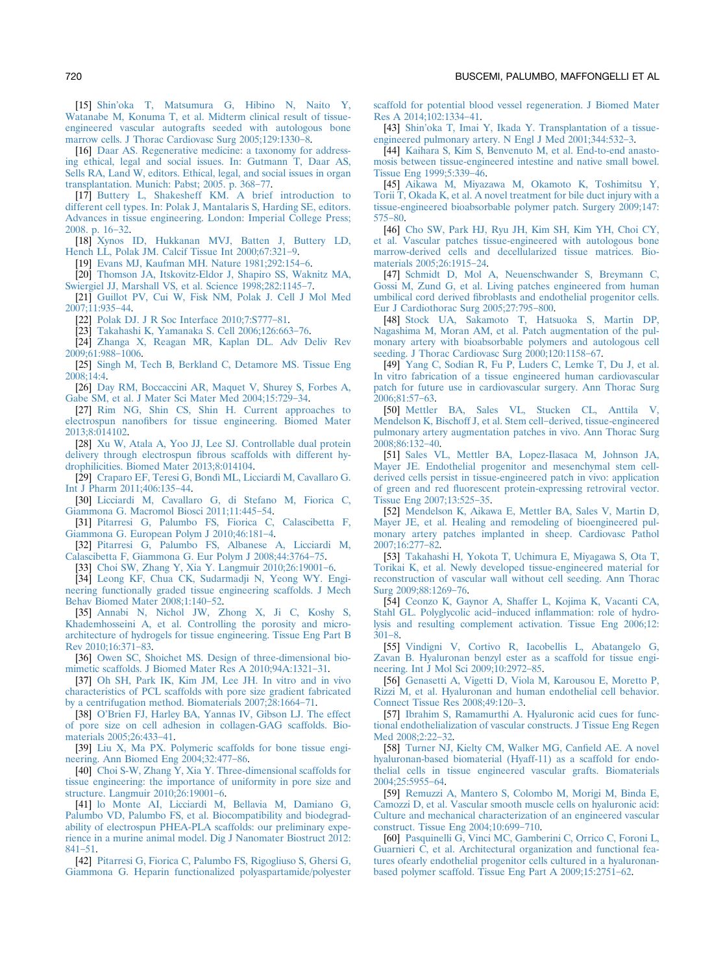<span id="page-4-0"></span>[16] [Daar AS. Regenerative medicine: a taxonomy for address](http://refhub.elsevier.com/S0041-1345(17)30151-3/sref16)[ing ethical, legal and social issues. In: Gutmann T, Daar AS,](http://refhub.elsevier.com/S0041-1345(17)30151-3/sref16) [Sells RA, Land W, editors. Ethical, legal, and social issues in organ](http://refhub.elsevier.com/S0041-1345(17)30151-3/sref16) [transplantation. Munich: Pabst; 2005. p. 368](http://refhub.elsevier.com/S0041-1345(17)30151-3/sref16)-77.

[17] [Buttery L, Shakesheff KM. A brief introduction to](http://refhub.elsevier.com/S0041-1345(17)30151-3/sref17) [different cell types. In: Polak J, Mantalaris S, Harding SE, editors.](http://refhub.elsevier.com/S0041-1345(17)30151-3/sref17) [Advances in tissue engineering. London: Imperial College Press;](http://refhub.elsevier.com/S0041-1345(17)30151-3/sref17) [2008. p. 16](http://refhub.elsevier.com/S0041-1345(17)30151-3/sref17)-32.

[18] [Xynos ID, Hukkanan MVJ, Batten J, Buttery LD,](http://refhub.elsevier.com/S0041-1345(17)30151-3/sref18) [Hench LL, Polak JM. Calcif Tissue Int 2000;67:321](http://refhub.elsevier.com/S0041-1345(17)30151-3/sref18)-9.

[19] Evans MJ, Kaufman MH, Nature 1981;292:154-6.

[20] [Thomson JA, Itskovitz-Eldor J, Shapiro SS, Waknitz MA,](http://refhub.elsevier.com/S0041-1345(17)30151-3/sref20) [Swiergiel JJ, Marshall VS, et al. Science 1998;282:1145](http://refhub.elsevier.com/S0041-1345(17)30151-3/sref20)-7.

[21] [Guillot PV, Cui W, Fisk NM, Polak J. Cell J Mol Med](http://refhub.elsevier.com/S0041-1345(17)30151-3/sref21) [2007;11:935](http://refhub.elsevier.com/S0041-1345(17)30151-3/sref21)e44.

[22] [Polak DJ. J R Soc Interface 2010;7:S777](http://refhub.elsevier.com/S0041-1345(17)30151-3/sref22)-81.

[23] [Takahashi K, Yamanaka S. Cell 2006;126:663](http://refhub.elsevier.com/S0041-1345(17)30151-3/sref23)-76.

[24] [Zhanga X, Reagan MR, Kaplan DL. Adv Deliv Rev](http://refhub.elsevier.com/S0041-1345(17)30151-3/sref24) [2009;61:988](http://refhub.elsevier.com/S0041-1345(17)30151-3/sref24)-1006.

[25] [Singh M, Tech B, Berkland C, Detamore MS. Tissue Eng](http://refhub.elsevier.com/S0041-1345(17)30151-3/sref25) [2008;14:4](http://refhub.elsevier.com/S0041-1345(17)30151-3/sref25).

[26] [Day RM, Boccaccini AR, Maquet V, Shurey S, Forbes A,](http://refhub.elsevier.com/S0041-1345(17)30151-3/sref26) [Gabe SM, et al. J Mater Sci Mater Med 2004;15:729](http://refhub.elsevier.com/S0041-1345(17)30151-3/sref26)-34.

[27] [Rim NG, Shin CS, Shin H. Current approaches to](http://refhub.elsevier.com/S0041-1345(17)30151-3/sref27) electrospun nanofi[bers for tissue engineering. Biomed Mater](http://refhub.elsevier.com/S0041-1345(17)30151-3/sref27) [2013;8:014102.](http://refhub.elsevier.com/S0041-1345(17)30151-3/sref27)

[28] [Xu W, Atala A, Yoo JJ, Lee SJ. Controllable dual protein](http://refhub.elsevier.com/S0041-1345(17)30151-3/sref28) delivery through electrospun fi[brous scaffolds with different hy](http://refhub.elsevier.com/S0041-1345(17)30151-3/sref28)[drophilicities. Biomed Mater 2013;8:014104.](http://refhub.elsevier.com/S0041-1345(17)30151-3/sref28)

[29] [Craparo EF, Teresi G, Bondì ML, Licciardi M, Cavallaro G.](http://refhub.elsevier.com/S0041-1345(17)30151-3/sref29) [Int J Pharm 2011;406:135](http://refhub.elsevier.com/S0041-1345(17)30151-3/sref29)-44.

[30] [Licciardi M, Cavallaro G, di Stefano M, Fiorica C,](http://refhub.elsevier.com/S0041-1345(17)30151-3/sref30) [Giammona G. Macromol Biosci 2011;11:445](http://refhub.elsevier.com/S0041-1345(17)30151-3/sref30)-54.

[31] [Pitarresi G, Palumbo FS, Fiorica C, Calascibetta F,](http://refhub.elsevier.com/S0041-1345(17)30151-3/sref31) [Giammona G. European Polym J 2010;46:181](http://refhub.elsevier.com/S0041-1345(17)30151-3/sref31)-4.

[32] [Pitarresi G, Palumbo FS, Albanese A, Licciardi M,](http://refhub.elsevier.com/S0041-1345(17)30151-3/sref32) [Calascibetta F, Giammona G. Eur Polym J 2008;44:3764](http://refhub.elsevier.com/S0041-1345(17)30151-3/sref32)-75.

[33] [Choi SW, Zhang Y, Xia Y. Langmuir 2010;26:19001](http://refhub.elsevier.com/S0041-1345(17)30151-3/sref33)-6.

[34] [Leong KF, Chua CK, Sudarmadji N, Yeong WY. Engi](http://refhub.elsevier.com/S0041-1345(17)30151-3/sref34)[neering functionally graded tissue engineering scaffolds. J Mech](http://refhub.elsevier.com/S0041-1345(17)30151-3/sref34) [Behav Biomed Mater 2008;1:140](http://refhub.elsevier.com/S0041-1345(17)30151-3/sref34)-52.

[35] [Annabi N, Nichol JW, Zhong X, Ji C, Koshy S,](http://refhub.elsevier.com/S0041-1345(17)30151-3/sref35) [Khademhosseini A, et al. Controlling the porosity and micro](http://refhub.elsevier.com/S0041-1345(17)30151-3/sref35)[architecture of hydrogels for tissue engineering. Tissue Eng Part B](http://refhub.elsevier.com/S0041-1345(17)30151-3/sref35) [Rev 2010;16:371](http://refhub.elsevier.com/S0041-1345(17)30151-3/sref35)-83.

[36] [Owen SC, Shoichet MS. Design of three-dimensional bio](http://refhub.elsevier.com/S0041-1345(17)30151-3/sref36)[mimetic scaffolds. J Biomed Mater Res A 2010;94A:1321](http://refhub.elsevier.com/S0041-1345(17)30151-3/sref36)-31.

[37] [Oh SH, Park IK, Kim JM, Lee JH. In vitro and in vivo](http://refhub.elsevier.com/S0041-1345(17)30151-3/sref37) [characteristics of PCL scaffolds with pore size gradient fabricated](http://refhub.elsevier.com/S0041-1345(17)30151-3/sref37) by a centrifugation method. Biomaterials  $2007;28:1664-71$ .

[38] O'[Brien FJ, Harley BA, Yannas IV, Gibson LJ. The effect](http://refhub.elsevier.com/S0041-1345(17)30151-3/sref38) [of pore size on cell adhesion in collagen-GAG scaffolds. Bio](http://refhub.elsevier.com/S0041-1345(17)30151-3/sref38)[materials 2005;26:433](http://refhub.elsevier.com/S0041-1345(17)30151-3/sref38)-41.

[39] [Liu X, Ma PX. Polymeric scaffolds for bone tissue engi](http://refhub.elsevier.com/S0041-1345(17)30151-3/sref39)[neering. Ann Biomed Eng 2004;32:477](http://refhub.elsevier.com/S0041-1345(17)30151-3/sref39)-86.

[40] [Choi S-W, Zhang Y, Xia Y. Three-dimensional scaffolds for](http://refhub.elsevier.com/S0041-1345(17)30151-3/sref40) [tissue engineering: the importance of uniformity in pore size and](http://refhub.elsevier.com/S0041-1345(17)30151-3/sref40) [structure. Langmuir 2010;26:19001](http://refhub.elsevier.com/S0041-1345(17)30151-3/sref40)-6.

[41] [lo Monte AI, Licciardi M, Bellavia M, Damiano G,](http://refhub.elsevier.com/S0041-1345(17)30151-3/sref41) [Palumbo VD, Palumbo FS, et al. Biocompatibility and biodegrad](http://refhub.elsevier.com/S0041-1345(17)30151-3/sref41)[ability of electrospun PHEA-PLA scaffolds: our preliminary expe](http://refhub.elsevier.com/S0041-1345(17)30151-3/sref41)[rience in a murine animal model. Dig J Nanomater Biostruct 2012:](http://refhub.elsevier.com/S0041-1345(17)30151-3/sref41)  $841 - 51$  $841 - 51$ .

[42] [Pitarresi G, Fiorica C, Palumbo FS, Rigogliuso S, Ghersi G,](http://refhub.elsevier.com/S0041-1345(17)30151-3/sref42) [Giammona G. Heparin functionalized polyaspartamide/polyester](http://refhub.elsevier.com/S0041-1345(17)30151-3/sref42) [scaffold for potential blood vessel regeneration. J Biomed Mater](http://refhub.elsevier.com/S0041-1345(17)30151-3/sref42) [Res A 2014;102:1334](http://refhub.elsevier.com/S0041-1345(17)30151-3/sref42)-41.

[43] Shin'[oka T, Imai Y, Ikada Y. Transplantation of a tissue](http://refhub.elsevier.com/S0041-1345(17)30151-3/sref43)[engineered pulmonary artery. N Engl J Med 2001;344:532](http://refhub.elsevier.com/S0041-1345(17)30151-3/sref43)-3.

[44] [Kaihara S, Kim S, Benvenuto M, et al. End-to-end anasto](http://refhub.elsevier.com/S0041-1345(17)30151-3/sref44)[mosis between tissue-engineered intestine and native small bowel.](http://refhub.elsevier.com/S0041-1345(17)30151-3/sref44) Tissue Eng  $1999:5:339-46$ .

[45] [Aikawa M, Miyazawa M, Okamoto K, Toshimitsu Y,](http://refhub.elsevier.com/S0041-1345(17)30151-3/sref45) [Torii T, Okada K, et al. A novel treatment for bile duct injury with a](http://refhub.elsevier.com/S0041-1345(17)30151-3/sref45) [tissue-engineered bioabsorbable polymer patch. Surgery 2009;147:](http://refhub.elsevier.com/S0041-1345(17)30151-3/sref45)  $575 - 80.$  $575 - 80.$ 

[46] [Cho SW, Park HJ, Ryu JH, Kim SH, Kim YH, Choi CY,](http://refhub.elsevier.com/S0041-1345(17)30151-3/sref46) [et al. Vascular patches tissue-engineered with autologous bone](http://refhub.elsevier.com/S0041-1345(17)30151-3/sref46) [marrow-derived cells and decellularized tissue matrices. Bio](http://refhub.elsevier.com/S0041-1345(17)30151-3/sref46)materials 2005:26:1915-24.

[47] [Schmidt D, Mol A, Neuenschwander S, Breymann C,](http://refhub.elsevier.com/S0041-1345(17)30151-3/sref47) [Gossi M, Zund G, et al. Living patches engineered from human](http://refhub.elsevier.com/S0041-1345(17)30151-3/sref47) umbilical cord derived fi[broblasts and endothelial progenitor cells.](http://refhub.elsevier.com/S0041-1345(17)30151-3/sref47) Eur J Cardiothorac Surg  $2005;27:795-800$ .

[48] [Stock UA, Sakamoto T, Hatsuoka S, Martin DP,](http://refhub.elsevier.com/S0041-1345(17)30151-3/sref48) [Nagashima M, Moran AM, et al. Patch augmentation of the pul](http://refhub.elsevier.com/S0041-1345(17)30151-3/sref48)[monary artery with bioabsorbable polymers and autologous cell](http://refhub.elsevier.com/S0041-1345(17)30151-3/sref48) [seeding. J Thorac Cardiovasc Surg 2000;120:1158](http://refhub.elsevier.com/S0041-1345(17)30151-3/sref48)-67.

[49] [Yang C, Sodian R, Fu P, Luders C, Lemke T, Du J, et al.](http://refhub.elsevier.com/S0041-1345(17)30151-3/sref49) [In vitro fabrication of a tissue engineered human cardiovascular](http://refhub.elsevier.com/S0041-1345(17)30151-3/sref49) [patch for future use in cardiovascular surgery. Ann Thorac Surg](http://refhub.elsevier.com/S0041-1345(17)30151-3/sref49)  $2006;81:57-63.$  $2006;81:57-63.$ 

[50] [Mettler BA, Sales VL, Stucken CL, Anttila V,](http://refhub.elsevier.com/S0041-1345(17)30151-3/sref50) [Mendelson K, Bischoff J, et al. Stem cell](http://refhub.elsevier.com/S0041-1345(17)30151-3/sref50)-derived, tissue-engineered [pulmonary artery augmentation patches in vivo. Ann Thorac Surg](http://refhub.elsevier.com/S0041-1345(17)30151-3/sref50) [2008;86:132](http://refhub.elsevier.com/S0041-1345(17)30151-3/sref50)-40.

[51] [Sales VL, Mettler BA, Lopez-Ilasaca M, Johnson JA,](http://refhub.elsevier.com/S0041-1345(17)30151-3/sref51) [Mayer JE. Endothelial progenitor and mesenchymal stem cell](http://refhub.elsevier.com/S0041-1345(17)30151-3/sref51)[derived cells persist in tissue-engineered patch in vivo: application](http://refhub.elsevier.com/S0041-1345(17)30151-3/sref51) of green and red fl[uorescent protein-expressing retroviral vector.](http://refhub.elsevier.com/S0041-1345(17)30151-3/sref51) Tissue Eng 2007:13:525-35.

[52] [Mendelson K, Aikawa E, Mettler BA, Sales V, Martin D,](http://refhub.elsevier.com/S0041-1345(17)30151-3/sref52) [Mayer JE, et al. Healing and remodeling of bioengineered pul](http://refhub.elsevier.com/S0041-1345(17)30151-3/sref52)[monary artery patches implanted in sheep. Cardiovasc Pathol](http://refhub.elsevier.com/S0041-1345(17)30151-3/sref52) [2007;16:277](http://refhub.elsevier.com/S0041-1345(17)30151-3/sref52)-82.

[53] [Takahashi H, Yokota T, Uchimura E, Miyagawa S, Ota T,](http://refhub.elsevier.com/S0041-1345(17)30151-3/sref53) [Torikai K, et al. Newly developed tissue-engineered material for](http://refhub.elsevier.com/S0041-1345(17)30151-3/sref53) [reconstruction of vascular wall without cell seeding. Ann Thorac](http://refhub.elsevier.com/S0041-1345(17)30151-3/sref53) [Surg 2009;88:1269](http://refhub.elsevier.com/S0041-1345(17)30151-3/sref53)-76.

[54] [Ceonzo K, Gaynor A, Shaffer L, Kojima K, Vacanti CA,](http://refhub.elsevier.com/S0041-1345(17)30151-3/sref54) [Stahl GL. Polyglycolic acid](http://refhub.elsevier.com/S0041-1345(17)30151-3/sref54)-induced inflammation: role of hydro[lysis and resulting complement activation. Tissue Eng 2006;12:](http://refhub.elsevier.com/S0041-1345(17)30151-3/sref54)  $301 - 8$  $301 - 8$ 

[55] [Vindigni V, Cortivo R, Iacobellis L, Abatangelo G,](http://refhub.elsevier.com/S0041-1345(17)30151-3/sref55) [Zavan B. Hyaluronan benzyl ester as a scaffold for tissue engi](http://refhub.elsevier.com/S0041-1345(17)30151-3/sref55)neering. Int J Mol Sci  $2009;10:2972-85$ .

[56] [Genasetti A, Vigetti D, Viola M, Karousou E, Moretto P,](http://refhub.elsevier.com/S0041-1345(17)30151-3/sref56) [Rizzi M, et al. Hyaluronan and human endothelial cell behavior.](http://refhub.elsevier.com/S0041-1345(17)30151-3/sref56) [Connect Tissue Res 2008;49:120](http://refhub.elsevier.com/S0041-1345(17)30151-3/sref56)-3.

[57] [Ibrahim S, Ramamurthi A. Hyaluronic acid cues for func](http://refhub.elsevier.com/S0041-1345(17)30151-3/sref57)[tional endothelialization of vascular constructs. J Tissue Eng Regen](http://refhub.elsevier.com/S0041-1345(17)30151-3/sref57) [Med 2008;2:22](http://refhub.elsevier.com/S0041-1345(17)30151-3/sref57)-32.

[58] [Turner NJ, Kielty CM, Walker MG, Can](http://refhub.elsevier.com/S0041-1345(17)30151-3/sref58)field AE. A novel [hyaluronan-based biomaterial \(Hyaff-11\) as a scaffold for endo](http://refhub.elsevier.com/S0041-1345(17)30151-3/sref58)[thelial cells in tissue engineered vascular grafts. Biomaterials](http://refhub.elsevier.com/S0041-1345(17)30151-3/sref58) [2004;25:5955](http://refhub.elsevier.com/S0041-1345(17)30151-3/sref58)e64.

[59] [Remuzzi A, Mantero S, Colombo M, Morigi M, Binda E,](http://refhub.elsevier.com/S0041-1345(17)30151-3/sref59) [Camozzi D, et al. Vascular smooth muscle cells on hyaluronic acid:](http://refhub.elsevier.com/S0041-1345(17)30151-3/sref59) [Culture and mechanical characterization of an engineered vascular](http://refhub.elsevier.com/S0041-1345(17)30151-3/sref59) [construct. Tissue Eng 2004;10:699](http://refhub.elsevier.com/S0041-1345(17)30151-3/sref59)-710.

[60] [Pasquinelli G, Vinci MC, Gamberini C, Orrico C, Foroni L,](http://refhub.elsevier.com/S0041-1345(17)30151-3/sref60) [Guarnieri C, et al. Architectural organization and functional fea](http://refhub.elsevier.com/S0041-1345(17)30151-3/sref60)[tures ofearly endothelial progenitor cells cultured in a hyaluronan](http://refhub.elsevier.com/S0041-1345(17)30151-3/sref60)[based polymer scaffold. Tissue Eng Part A 2009;15:2751](http://refhub.elsevier.com/S0041-1345(17)30151-3/sref60)-62.